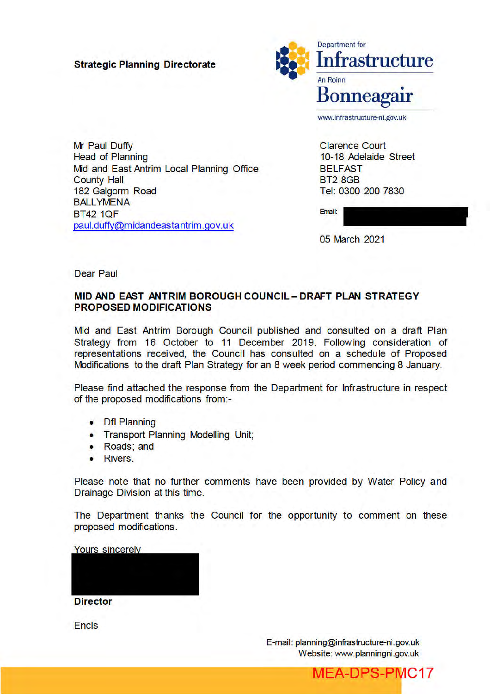### **Strategic Planning Directorate**



Mr Paul Duffy **Head of Planning** Mid and East Antrim Local Planning Office **County Hall** 182 Galgorm Road **BALLYMENA BT42 1QF** paul.duffy@midandeastantrim.gov.uk

**Clarence Court** 10-18 Adelaide Street **BELFAST BT2 8GB** Tel: 0300 200 7830

Email:

05 March 2021

Dear Paul

### MID AND EAST ANTRIM BOROUGH COUNCIL - DRAFT PLAN STRATEGY **PROPOSED MODIFICATIONS**

Mid and East Antrim Borough Council published and consulted on a draft Plan Strategy from 16 October to 11 December 2019. Following consideration of representations received, the Council has consulted on a schedule of Proposed Modifications to the draft Plan Strategy for an 8 week period commencing 8 January.

Please find attached the response from the Department for Infrastructure in respect of the proposed modifications from:-

- Dfl Planning
- Transport Planning Modelling Unit;
- Roads: and
- Rivers.

Please note that no further comments have been provided by Water Policy and Drainage Division at this time.

The Department thanks the Council for the opportunity to comment on these proposed modifications.

**Yours sincerely** 

**Director** 

**Encls** 

E-mail: planning@infrastructure-ni.gov.uk Website: www.planningni.gov.uk

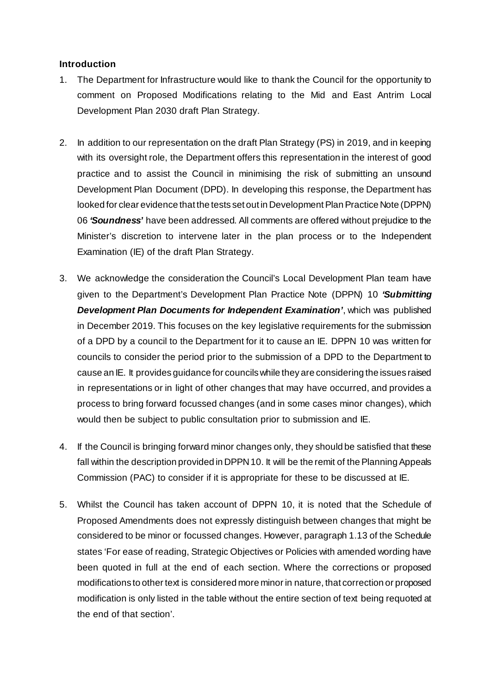### **Introduction**

- 1. The Department for Infrastructure would like to thank the Council for the opportunity to comment on Proposed Modifications relating to the Mid and East Antrim Local Development Plan 2030 draft Plan Strategy.
- 2. In addition to our representation on the draft Plan Strategy (PS) in 2019, and in keeping with its oversight role, the Department offers this representation in the interest of good practice and to assist the Council in minimising the risk of submitting an unsound Development Plan Document (DPD). In developing this response, the Department has looked for clear evidence that the tests set out in Development Plan Practice Note (DPPN) 06 *'Soundness'* have been addressed. All comments are offered without prejudice to the Minister's discretion to intervene later in the plan process or to the Independent Examination (IE) of the draft Plan Strategy.
- 3. We acknowledge the consideration the Council's Local Development Plan team have given to the Department's Development Plan Practice Note (DPPN) 10 *'Submitting Development Plan Documents for Independent Examination'*, which was published in December 2019. This focuses on the key legislative requirements for the submission of a DPD by a council to the Department for it to cause an IE. DPPN 10 was written for councils to consider the period prior to the submission of a DPD to the Department to cause an IE. It provides guidance for councils while they are considering the issues raised in representations or in light of other changes that may have occurred, and provides a process to bring forward focussed changes (and in some cases minor changes), which would then be subject to public consultation prior to submission and IE.
- 4. If the Council is bringing forward minor changes only, they should be satisfied that these fall within the description provided in DPPN 10. It will be the remit of the Planning Appeals Commission (PAC) to consider if it is appropriate for these to be discussed at IE.
- 5. Whilst the Council has taken account of DPPN 10, it is noted that the Schedule of Proposed Amendments does not expressly distinguish between changes that might be considered to be minor or focussed changes. However, paragraph 1.13 of the Schedule states 'For ease of reading, Strategic Objectives or Policies with amended wording have been quoted in full at the end of each section. Where the corrections or proposed modifications to other text is considered more minor in nature, that correction or proposed modification is only listed in the table without the entire section of text being requoted at the end of that section'.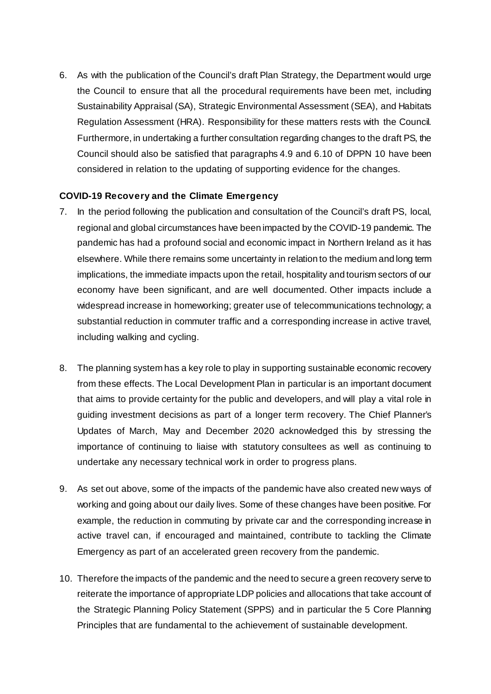6. As with the publication of the Council's draft Plan Strategy, the Department would urge the Council to ensure that all the procedural requirements have been met, including Sustainability Appraisal (SA), Strategic Environmental Assessment (SEA), and Habitats Regulation Assessment (HRA). Responsibility for these matters rests with the Council. Furthermore, in undertaking a further consultation regarding changes to the draft PS, the Council should also be satisfied that paragraphs 4.9 and 6.10 of DPPN 10 have been considered in relation to the updating of supporting evidence for the changes.

### **COVID-19 Recovery and the Climate Emergency**

- 7. In the period following the publication and consultation of the Council's draft PS, local, regional and global circumstances have been impacted by the COVID-19 pandemic. The pandemic has had a profound social and economic impact in Northern Ireland as it has elsewhere. While there remains some uncertainty in relation to the medium and long term implications, the immediate impacts upon the retail, hospitality and tourism sectors of our economy have been significant, and are well documented. Other impacts include a widespread increase in homeworking; greater use of telecommunications technology; a substantial reduction in commuter traffic and a corresponding increase in active travel, including walking and cycling.
- 8. The planning system has a key role to play in supporting sustainable economic recovery from these effects. The Local Development Plan in particular is an important document that aims to provide certainty for the public and developers, and will play a vital role in guiding investment decisions as part of a longer term recovery. The Chief Planner's Updates of March, May and December 2020 acknowledged this by stressing the importance of continuing to liaise with statutory consultees as well as continuing to undertake any necessary technical work in order to progress plans.
- 9. As set out above, some of the impacts of the pandemic have also created new ways of working and going about our daily lives. Some of these changes have been positive. For example, the reduction in commuting by private car and the corresponding increase in active travel can, if encouraged and maintained, contribute to tackling the Climate Emergency as part of an accelerated green recovery from the pandemic.
- 10. Therefore the impacts of the pandemic and the need to secure a green recovery serve to reiterate the importance of appropriate LDP policies and allocations that take account of the Strategic Planning Policy Statement (SPPS) and in particular the 5 Core Planning Principles that are fundamental to the achievement of sustainable development.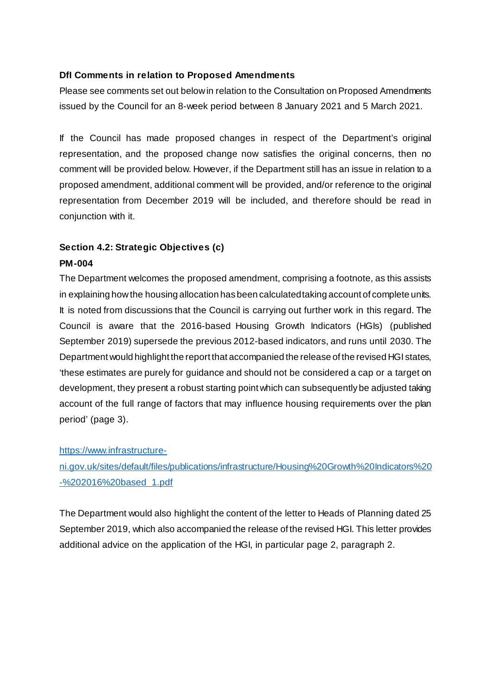### **DfI Comments in relation to Proposed Amendments**

Please see comments set out below in relation to the Consultation on Proposed Amendments issued by the Council for an 8-week period between 8 January 2021 and 5 March 2021.

If the Council has made proposed changes in respect of the Department's original representation, and the proposed change now satisfies the original concerns, then no comment will be provided below. However, if the Department still has an issue in relation to a proposed amendment, additional comment will be provided, and/or reference to the original representation from December 2019 will be included, and therefore should be read in conjunction with it.

## **Section 4.2: Strategic Objectives (c) PM-004**

The Department welcomes the proposed amendment, comprising a footnote, as this assists in explaining how the housing allocation has been calculated taking account of complete units. It is noted from discussions that the Council is carrying out further work in this regard. The Council is aware that the 2016-based Housing Growth Indicators (HGIs) (published September 2019) supersede the previous 2012-based indicators, and runs until 2030. The Department would highlight the report that accompanied the release of the revised HGI states, 'these estimates are purely for guidance and should not be considered a cap or a target on development, they present a robust starting point which can subsequently be adjusted taking account of the full range of factors that may influence housing requirements over the plan period' (page 3).

### https://www.infrastructure-

ni.gov.uk/sites/default/files/publications/infrastructure/Housing%20Growth%20Indicators%20 -%202016%20based 1.pdf

The Department would also highlight the content of the letter to Heads of Planning dated 25 September 2019, which also accompanied the release of the revised HGI. This letter provides additional advice on the application of the HGI, in particular page 2, paragraph 2.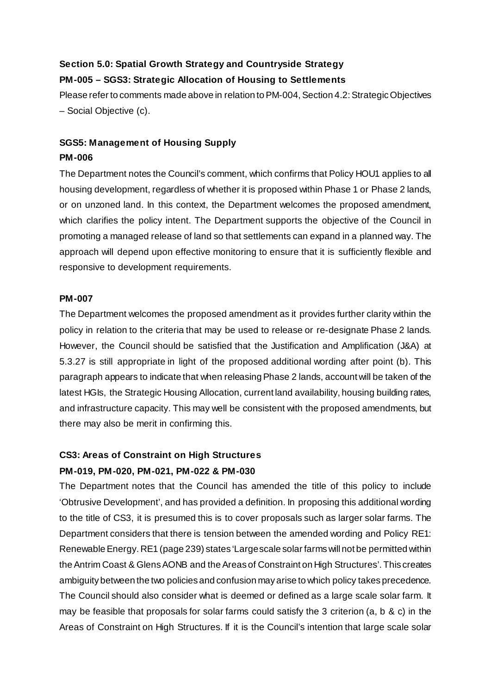### **Section 5.0: Spatial Growth Strategy and Countryside Strategy PM-005 – SGS3: Strategic Allocation of Housing to Settlements**

Please refer to comments made above in relation to PM-004, Section 4.2: Strategic Objectives – Social Objective (c).

## **SGS5: Management of Housing Supply PM-006**

The Department notes the Council's comment, which confirms that Policy HOU1 applies to all housing development, regardless of whether it is proposed within Phase 1 or Phase 2 lands, or on unzoned land. In this context, the Department welcomes the proposed amendment, which clarifies the policy intent. The Department supports the objective of the Council in promoting a managed release of land so that settlements can expand in a planned way. The approach will depend upon effective monitoring to ensure that it is sufficiently flexible and responsive to development requirements.

### **PM-007**

The Department welcomes the proposed amendment as it provides further clarity within the policy in relation to the criteria that may be used to release or re-designate Phase 2 lands. However, the Council should be satisfied that the Justification and Amplification (J&A) at 5.3.27 is still appropriate in light of the proposed additional wording after point (b). This paragraph appears to indicate that when releasing Phase 2 lands, account will be taken of the latest HGIs, the Strategic Housing Allocation, current land availability, housing building rates, and infrastructure capacity. This may well be consistent with the proposed amendments, but there may also be merit in confirming this.

## **CS3: Areas of Constraint on High Structures PM-019, PM-020, PM-021, PM-022 & PM-030**

The Department notes that the Council has amended the title of this policy to include 'Obtrusive Development', and has provided a definition. In proposing this additional wording to the title of CS3, it is presumed this is to cover proposals such as larger solar farms. The Department considers that there is tension between the amended wording and Policy RE1: Renewable Energy. RE1 (page 239) states 'Large scale solar farms will not be permitted within the Antrim Coast & Glens AONB and the Areas of Constraint on High Structures'. This creates ambiguity between the two policies and confusion may arise to which policy takes precedence. The Council should also consider what is deemed or defined as a large scale solar farm. It may be feasible that proposals for solar farms could satisfy the 3 criterion (a, b & c) in the Areas of Constraint on High Structures. If it is the Council's intention that large scale solar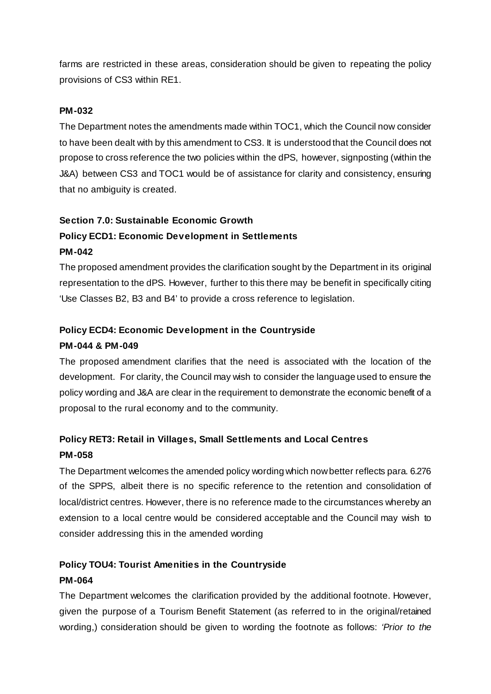farms are restricted in these areas, consideration should be given to repeating the policy provisions of CS3 within RE1.

### **PM-032**

The Department notes the amendments made within TOC1, which the Council now consider to have been dealt with by this amendment to CS3. It is understood that the Council does not propose to cross reference the two policies within the dPS, however, signposting (within the J&A) between CS3 and TOC1 would be of assistance for clarity and consistency, ensuring that no ambiguity is created.

### **Section 7.0: Sustainable Economic Growth**

## **Policy ECD1: Economic Development in Settlements PM-042**

The proposed amendment provides the clarification sought by the Department in its original representation to the dPS. However, further to this there may be benefit in specifically citing 'Use Classes B2, B3 and B4' to provide a cross reference to legislation.

### **Policy ECD4: Economic Development in the Countryside**

### **PM-044 & PM-049**

The proposed amendment clarifies that the need is associated with the location of the development. For clarity, the Council may wish to consider the language used to ensure the policy wording and J&A are clear in the requirement to demonstrate the economic benefit of a proposal to the rural economy and to the community.

# **Policy RET3: Retail in Villages, Small Settlements and Local Centres PM-058**

The Department welcomes the amended policy wording which now better reflects para. 6.276 of the SPPS, albeit there is no specific reference to the retention and consolidation of local/district centres. However, there is no reference made to the circumstances whereby an extension to a local centre would be considered acceptable and the Council may wish to consider addressing this in the amended wording

# **Policy TOU4: Tourist Amenities in the Countryside**

### **PM-064**

The Department welcomes the clarification provided by the additional footnote. However, given the purpose of a Tourism Benefit Statement (as referred to in the original/retained wording,) consideration should be given to wording the footnote as follows: *'Prior to the*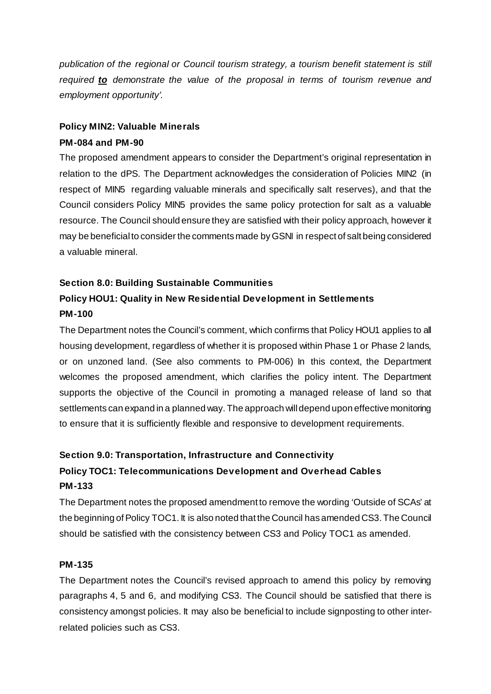*publication of the regional or Council tourism strategy, a tourism benefit statement is still required to demonstrate the value of the proposal in terms of tourism revenue and employment opportunity'*.

### **Policy MIN2: Valuable Minerals**

### **PM-084 and PM-90**

The proposed amendment appears to consider the Department's original representation in relation to the dPS. The Department acknowledges the consideration of Policies MIN2 (in respect of MIN5 regarding valuable minerals and specifically salt reserves), and that the Council considers Policy MIN5 provides the same policy protection for salt as a valuable resource. The Council should ensure they are satisfied with their policy approach, however it may be beneficial to consider the comments made by GSNI in respect of salt being considered a valuable mineral.

### **Section 8.0: Building Sustainable Communities**

# **Policy HOU1: Quality in New Residential Development in Settlements PM-100**

The Department notes the Council's comment, which confirms that Policy HOU1 applies to all housing development, regardless of whether it is proposed within Phase 1 or Phase 2 lands, or on unzoned land. (See also comments to PM-006) In this context, the Department welcomes the proposed amendment, which clarifies the policy intent. The Department supports the objective of the Council in promoting a managed release of land so that settlements can expand in a planned way. The approach will depend upon effective monitoring to ensure that it is sufficiently flexible and responsive to development requirements.

# **Section 9.0: Transportation, Infrastructure and Connectivity Policy TOC1: Telecommunications Development and Overhead Cables PM-133**

The Department notes the proposed amendment to remove the wording 'Outside of SCAs' at the beginning of Policy TOC1. It is also noted that the Council has amended CS3. The Council should be satisfied with the consistency between CS3 and Policy TOC1 as amended.

### **PM-135**

The Department notes the Council's revised approach to amend this policy by removing paragraphs 4, 5 and 6, and modifying CS3. The Council should be satisfied that there is consistency amongst policies. It may also be beneficial to include signposting to other interrelated policies such as CS3.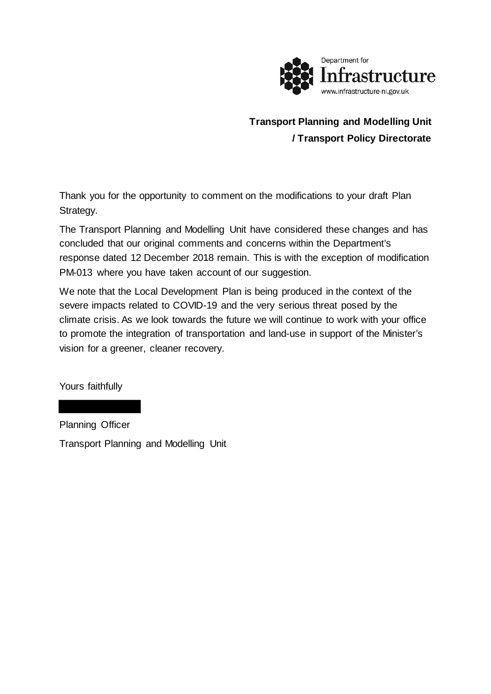

# **Transport Planning and Modelling Unit / Transport Policy Directorate**

Thank you for the opportunity to comment on the modifications to your draft Plan Strategy.

The Transport Planning and Modelling Unit have considered these changes and has concluded that our original comments and concerns within the Department's response dated 12 December 2018 remain. This is with the exception of modification PM-013 where you have taken account of our suggestion.

We note that the Local Development Plan is being produced in the context of the severe impacts related to COVID-19 and the very serious threat posed by the climate crisis. As we look towards the future we will continue to work with your office to promote the integration of transportation and land-use in support of the Minister's vision for a greener, cleaner recovery.

Yours faithfully

Planning Officer Transport Planning and Modelling Unit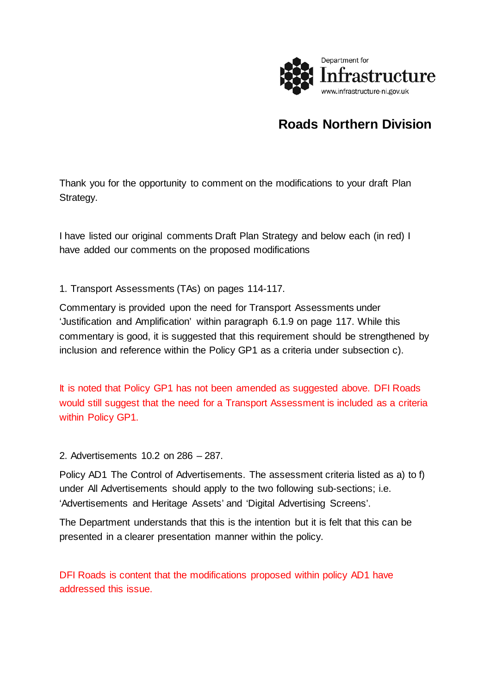

# **Roads Northern Division**

Thank you for the opportunity to comment on the modifications to your draft Plan Strategy.

I have listed our original comments Draft Plan Strategy and below each (in red) I have added our comments on the proposed modifications

1. Transport Assessments (TAs) on pages 114-117.

Commentary is provided upon the need for Transport Assessments under 'Justification and Amplification' within paragraph 6.1.9 on page 117. While this commentary is good, it is suggested that this requirement should be strengthened by inclusion and reference within the Policy GP1 as a criteria under subsection c).

It is noted that Policy GP1 has not been amended as suggested above. DFI Roads would still suggest that the need for a Transport Assessment is included as a criteria within Policy GP1.

2. Advertisements 10.2 on 286 – 287.

Policy AD1 The Control of Advertisements. The assessment criteria listed as a) to f) under All Advertisements should apply to the two following sub-sections; i.e. 'Advertisements and Heritage Assets' and 'Digital Advertising Screens'.

The Department understands that this is the intention but it is felt that this can be presented in a clearer presentation manner within the policy.

DFI Roads is content that the modifications proposed within policy AD1 have addressed this issue.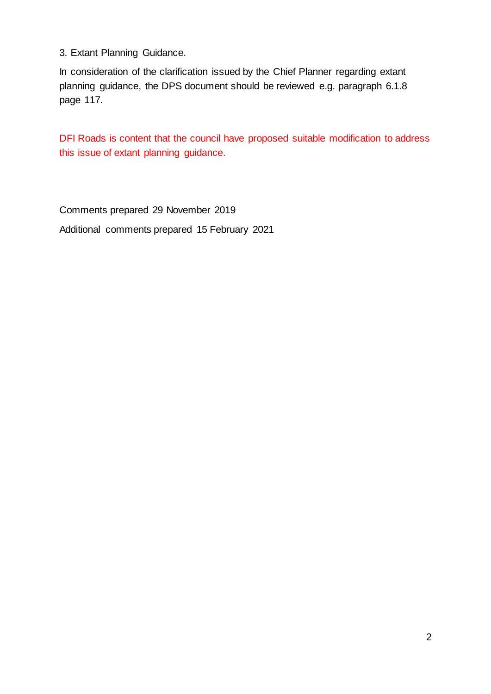3. Extant Planning Guidance.

In consideration of the clarification issued by the Chief Planner regarding extant planning guidance, the DPS document should be reviewed e.g. paragraph 6.1.8 page 117.

DFI Roads is content that the council have proposed suitable modification to address this issue of extant planning guidance.

Comments prepared 29 November 2019 Additional comments prepared 15 February 2021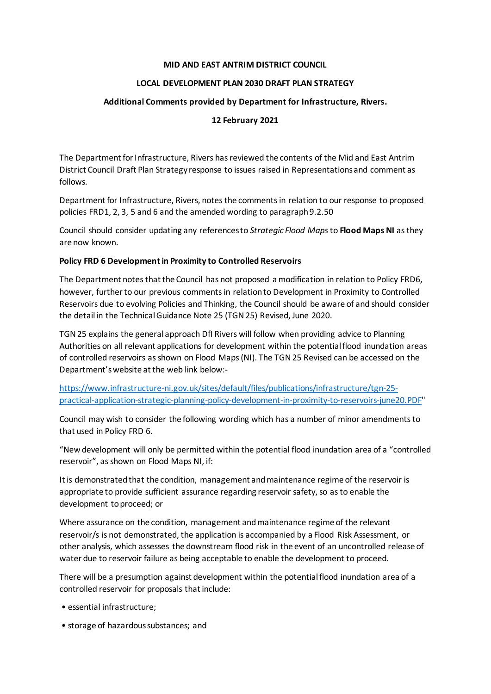#### **MID AND EAST ANTRIM DISTRICT COUNCIL**

### **LOCAL DEVELOPMENT PLAN 2030 DRAFT PLAN STRATEGY**

### **Additional Comments provided by Department for Infrastructure, Rivers.**

### **12 February 2021**

The Department for Infrastructure, Rivers has reviewed the contents of the Mid and East Antrim District Council Draft Plan Strategy response to issues raised in Representations and comment as follows.

Department for Infrastructure, Rivers, notes the comments in relation to our response to proposed policies FRD1, 2, 3, 5 and 6 and the amended wording to paragraph 9.2.50

Council should consider updating any references to *Strategic Flood Maps*to **Flood Maps NI** as they are now known.

### **Policy FRD 6 Development in Proximity to Controlled Reservoirs**

The Department notes that the Council has not proposed a modification in relation to Policy FRD6, however, further to our previous comments in relation to Development in Proximity to Controlled Reservoirs due to evolving Policies and Thinking, the Council should be aware of and should consider the detail in the Technical Guidance Note 25 (TGN 25) Revised, June 2020.

TGN 25 explains the general approach DfI Rivers will follow when providing advice to Planning Authorities on all relevant applications for development within the potential flood inundation areas of controlled reservoirs as shown on Flood Maps (NI). The TGN25 Revised can be accessed on the Department's website at the web link below:-

https://www.infrastructure-ni.gov.uk/sites/default/files/publications/infrastructure/tgn-25 practical-application-strategic-planning-policy-development-in-proximity-to-reservoirs-june20.PDF"

Council may wish to consider the following wording which has a number of minor amendments to that used in Policy FRD 6.

"New development will only be permitted within the potential flood inundation area of a "controlled reservoir", as shown on Flood Maps NI, if:

Itis demonstrated that the condition, management and maintenance regime of the reservoir is appropriate to provide sufficient assurance regarding reservoir safety, so as to enable the development to proceed; or

Where assurance on the condition, management and maintenance regime of the relevant reservoir/s is not demonstrated, the application is accompanied by a Flood Risk Assessment, or other analysis, which assesses the downstream flood risk in the event of an uncontrolled release of water due to reservoir failure as being acceptable to enable the development to proceed.

There will be a presumption against development within the potential flood inundation area of a controlled reservoir for proposals that include:

- essential infrastructure;
- storage of hazardous substances; and